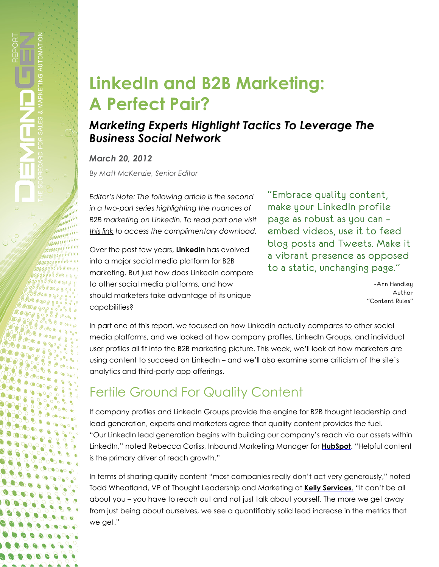# **LinkedIn and B2B Marketing: A Perfect Pair?**

#### *Marketing Experts Highlight Tactics To Leverage The Business Social Network*

*March 20, 2012*

,,,,,, ,,,,,,,, 000000 0000000000000

00000

*By Matt McKenzie, Senior Editor*

*Editor's Note: The following article is the second in a two-part series highlighting the nuances of B2B marketing on LinkedIn. To read part one visit [this link](http://www.demandgenreport.com/archives/feature-articles/1108-linkedin-and-b2b-marketing-a-perfect-pair-marketing-experts-highlight-tactics-to-leverage-the-business-social-network-.html) to access the complimentary download.*

Over the past few years, **LinkedIn** has evolved into a major social media platform for B2B marketing. But just how does LinkedIn compare to other social media platforms, and how should marketers take advantage of its unique capabilities?

"Embrace quality content, make your LinkedIn profile page as robust as you can – embed videos, use it to feed blog posts and Tweets. Make it a vibrant presence as opposed to a static, unchanging page."

> -Ann Handley Author "Content Rules"

[In part one of this report,](http://www.demandgenreport.com/archives/feature-articles/1108-linkedin-and-b2b-marketing-a-perfect-pair-marketing-experts-highlight-tactics-to-leverage-the-business-social-network-.html) we focused on how LinkedIn actually compares to other social media platforms, and we looked at how company profiles, LinkedIn Groups, and individual user profiles all fit into the B2B marketing picture. This week, we'll look at how marketers are using content to succeed on LinkedIn – and we'll also examine some criticism of the site's analytics and third-party app offerings.

# Fertile Ground For Quality Content

If company profiles and LinkedIn Groups provide the engine for B2B thought leadership and lead generation, experts and marketers agree that quality content provides the fuel. "Our LinkedIn lead generation begins with building our company's reach via our assets within LinkedIn," noted Rebecca Corliss, Inbound Marketing Manager for **[HubSpot](http://www.hubspot.com)**. "Helpful content is the primary driver of reach growth."

In terms of sharing quality content "most companies really don't act very generously," noted Todd Wheatland, VP of Thought Leadership and Marketing at **[Kelly Services](http://www.kellyservices.com/web/global/services/en/pages/index.html)**. "It can't be all about you – you have to reach out and not just talk about yourself. The more we get away from just being about ourselves, we see a quantifiably solid lead increase in the metrics that we get."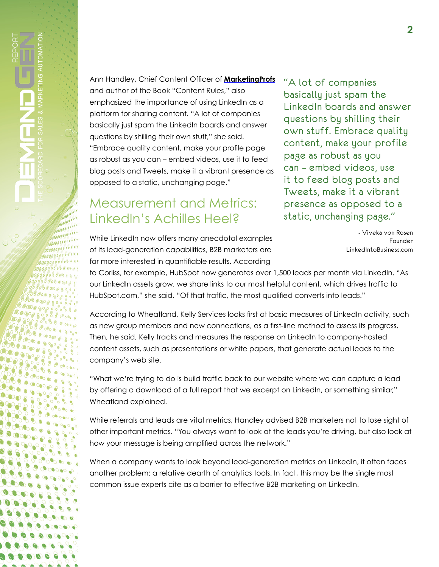*MODELLE*  $00000000000$ 00000000000 0000000000000

00000

Ann Handley, Chief Content Officer of **[MarketingProfs](http://www.marketingprofs.com/)** and author of the Book "Content Rules," also emphasized the importance of using LinkedIn as a platform for sharing content. "A lot of companies basically just spam the LinkedIn boards and answer questions by shilling their own stuff," she said. "Embrace quality content, make your profile page as robust as you can – embed videos, use it to feed blog posts and Tweets, make it a vibrant presence as opposed to a static, unchanging page."

#### Measurement and Metrics: LinkedIn's Achilles Heel?

"A lot of companies basically just spam the LinkedIn boards and answer questions by shilling their own stuff. Embrace quality content, make your profile page as robust as you can – embed videos, use it to feed blog posts and Tweets, make it a vibrant presence as opposed to a static, unchanging page."

While LinkedIn now offers many anecdotal examples of its lead-generation capabilities, B2B marketers are far more interested in quantifiable results. According

- Viveka von Rosen Founder LinkedIntoBusiness.com

to Corliss, for example, HubSpot now generates over 1,500 leads per month via LinkedIn. "As our LinkedIn assets grow, we share links to our most helpful content, which drives traffic to HubSpot.com," she said. "Of that traffic, the most qualified converts into leads."

According to Wheatland, Kelly Services looks first at basic measures of LinkedIn activity, such as new group members and new connections, as a first-line method to assess its progress. Then, he said, Kelly tracks and measures the response on LinkedIn to company-hosted content assets, such as presentations or white papers, that generate actual leads to the company's web site.

"What we're trying to do is build traffic back to our website where we can capture a lead by offering a download of a full report that we excerpt on LinkedIn, or something similar," Wheatland explained.

While referrals and leads are vital metrics, Handley advised B2B marketers not to lose sight of other important metrics. "You always want to look at the leads you're driving, but also look at how your message is being amplified across the network."

When a company wants to look beyond lead-generation metrics on LinkedIn, it often faces another problem: a relative dearth of analytics tools. In fact, this may be the single most common issue experts cite as a barrier to effective B2B marketing on LinkedIn.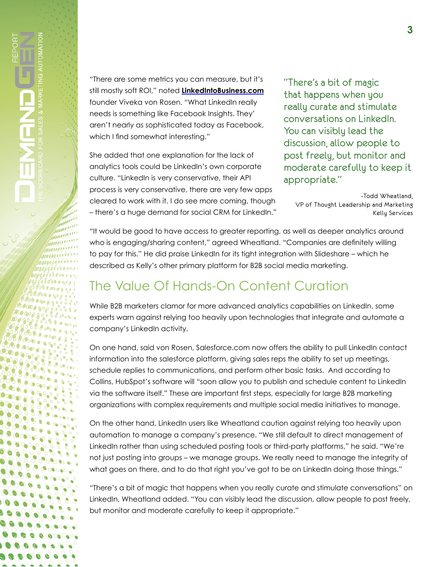$0.66$ 

"There are some metrics you can measure, but it's still mostly soft ROI," noted **[LinkedIntoBusiness.com](http://www.linkedintobusiness.com)** founder Viveka von Rosen. "What LinkedIn really needs is something like Facebook Insights. They' aren't nearly as sophisticated today as Facebook, which I find somewhat interesting."

She added that one explanation for the lack of analytics tools could be LinkedIn's own corporate culture. "LinkedIn is very conservative, their API process is very conservative, there are very few apps cleared to work with it. I do see more coming, though – there's a huge demand for social CRM for LinkedIn." "There's a bit of magic that happens when you really curate and stimulate conversations on LinkedIn. You can visibly lead the discussion, allow people to post freely, but monitor and moderate carefully to keep it appropriate."

-Todd Wheatland, VP of Thought Leadership and Marketing Kelly Services

"It would be good to have access to greater reporting, as well as deeper analytics around who is engaging/sharing content," agreed Wheatland. "Companies are definitely willing to pay for this." He did praise LinkedIn for its tight integration with Slideshare – which he described as Kelly's other primary platform for B2B social media marketing.

## The Value Of Hands-On Content Curation

While B2B marketers clamor for more advanced analytics capabilities on LinkedIn, some experts warn against relying too heavily upon technologies that integrate and automate a company's LinkedIn activity.

On one hand, said von Rosen, Salesforce.com now offers the ability to pull LinkedIn contact information into the salesforce platform, giving sales reps the ability to set up meetings, schedule replies to communications, and perform other basic tasks. And according to Collins, HubSpot's software will "soon allow you to publish and schedule content to LinkedIn via the software itself." These are important first steps, especially for large B2B marketing organizations with complex requirements and multiple social media initiatives to manage.

On the other hand, LinkedIn users like Wheatland caution against relying too heavily upon automation to manage a company's presence. "We still default to direct management of LinkedIn rather than using scheduled posting tools or third-party platforms," he said. "We're not just posting into groups – we manage groups. We really need to manage the integrity of what goes on there, and to do that right you've got to be on LinkedIn doing those things."

"There's a bit of magic that happens when you really curate and stimulate conversations" on LinkedIn, Wheatland added. "You can visibly lead the discussion, allow people to post freely, but monitor and moderate carefully to keep it appropriate."